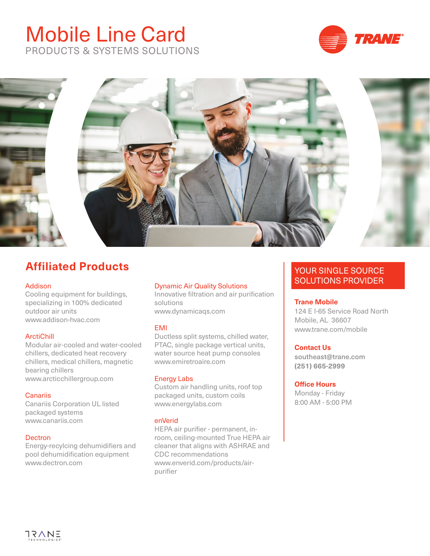# Mobile Line Card PRODUCTS & SYSTEMS SOLUTIONS





### **Affiliated Products**

#### Addison

Cooling equipment for buildings, specializing in 100% dedicated outdoor air units www.addison-hvac.com

#### ArctiChill

Modular air-cooled and water-cooled chillers, dedicated heat recovery chillers, medical chillers, magnetic bearing chillers www.arcticchillergroup.com

#### **Canariis**

Canariis Corporation UL listed packaged systems www.canariis.com

#### **Dectron**

Energy-recylcing dehumidifiers and pool dehumidification equipment www.dectron.com

#### Dynamic Air Quality Solutions

Innovative filtration and air purification solutions www.dynamicaqs.com

#### EMI

Ductless split systems, chilled water, PTAC, single package vertical units, water source heat pump consoles www.emiretroaire.com

#### Energy Labs

Custom air handling units, roof top packaged units, custom coils www.energylabs.com

#### enVerid

HEPA air purifier - permanent, inroom, ceiling-mounted True HEPA air cleaner that aligns with ASHRAE and CDC recommendations www.enverid.com/products/airpurifier

### YOUR SINGLE SOURCE SOLUTIONS PROVIDER

#### **Trane Mobile**

124 E I-65 Service Road North Mobile, AL 36607 www.trane.com/mobile

#### **Contact Us**

southeast@trane.com **(251) 665-2999**

#### **Office Hours**

Monday - Friday 8:00 AM - 5:00 PM